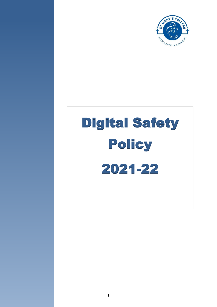

# [Digital](http://olasshiow.co.uk/wp-content/uploads/2008/06/matrix-qm-rgb.jpg) Safety Policy 2021-22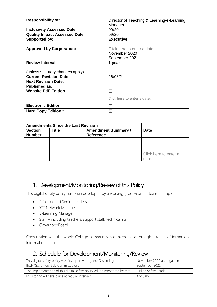| <b>Responsibility of:</b>            | Director of Teaching & Learning/e-Learning |
|--------------------------------------|--------------------------------------------|
|                                      | Manager                                    |
| <b>Inclusivity Assessed Date:</b>    | 09/20                                      |
| <b>Quality Impact Assessed Date:</b> | 09/20                                      |
| Supported by:                        | <b>Executive</b>                           |
|                                      |                                            |
| <b>Approved by Corporation:</b>      | Click here to enter a date.                |
|                                      | November 2020                              |
|                                      | September 2021                             |
| <b>Review Interval</b>               | 1 year                                     |
|                                      |                                            |
| unless statutory changes apply)      |                                            |
| <b>Current Revision Date:</b>        | 26/08/21                                   |
| <b>Next Revision Date:</b>           |                                            |
| <b>Published as:</b>                 |                                            |
| <b>Website PdF Edition</b>           | ⊠                                          |
|                                      | Click here to enter a date.                |
|                                      |                                            |
| <b>Electronic Edition</b>            | ⊠                                          |
| <b>Hard Copy Edition *</b>           | ⊠                                          |

|                                 | <b>Amendments Since the Last Revision</b> |                                                |                                |
|---------------------------------|-------------------------------------------|------------------------------------------------|--------------------------------|
| <b>Section</b><br><b>Number</b> | <b>Title</b>                              | <b>Amendment Summary /</b><br><b>Reference</b> | <b>Date</b>                    |
|                                 |                                           |                                                |                                |
|                                 |                                           |                                                |                                |
|                                 |                                           |                                                |                                |
|                                 |                                           |                                                | Click here to enter a<br>date. |

# 1. Development/Monitoring/Review of this Policy

This digital safety policy has been developed by a working group/committee made up of:

- Principal and Senior Leaders
- ICT Network Manager
- E-Learning Manager
- Staff including teachers, support staff, technical staff
- Governors/Board

Consultation with the whole College community has taken place through a range of formal and informal meetings.

# 2. Schedule for Development/Monitoring/Review

| This digital safety policy was first approved by the Governing             | November 2020 and again in |
|----------------------------------------------------------------------------|----------------------------|
| Body/Governors Sub Committee on:                                           | September 2021.            |
| The implementation of this digital safety policy will be monitored by the: | Online Safety Leads        |
| Monitoring will take place at regular intervals:                           | Annually                   |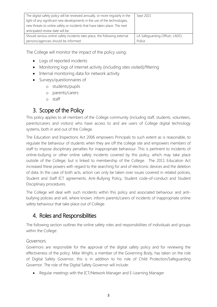| The digital safety policy will be reviewed annually, or more regularly in the | Sept 2021                      |
|-------------------------------------------------------------------------------|--------------------------------|
| light of any significant new developments in the use of the technologies,     |                                |
| new threats to online safety or incidents that have taken place. The next     |                                |
| anticipated review date will be:                                              |                                |
| Should serious online safety incidents take place, the following external     | LA Safeguarding Officer, LADO, |
| persons/agencies should be informed:                                          | Police                         |

The College will monitor the impact of the policy using:

- Logs of reported incidents
- Monitoring logs of internet activity (including sites visited)/filtering
- Internal monitoring data for network activity
- Surveys/questionnaires of
	- o students/pupils
	- o parents/carers
	- o staff

# 3. Scope of the Policy

This policy applies to all members of the College community (including staff, students, volunteers, parents/carers and visitors) who have access to and are users of College digital technology systems, both in and out of the College.

The Education and Inspections Act 2006 empowers Principals to such extent as is reasonable, to regulate the behaviour of students when they are off the college site and empowers members of staff to impose disciplinary penalties for inappropriate behaviour. This is pertinent to incidents of online-bullying or other online safety incidents covered by this policy, which may take place outside of the College, but is linked to membership of the College. The 2011 Education Act increased these powers with regard to the searching for and of electronic devices and the deletion of data. In the case of both acts, action can only be taken over issues covered in related policies, Student and Staff ICT agreements, Anti-Bullying Policy, Student code-of-conduct and Student Disciplinary procedures.

The College will deal with such incidents within this policy and associated behaviour and antibullying policies and will, where known, inform parents/carers of incidents of inappropriate online safety behaviour that take place out of College.

# 4. Roles and Responsibilities

The following section outlines the online safety roles and responsibilities of individuals and groups within the College:

## Governors

Governors are responsible for the approval of the digital safety policy and for reviewing the effectiveness of the policy. Mike Wright, a member of the Governing Body, has taken on the role of Digital Safety Governor, this is in addition to his role of Child Protection/Safeguarding Governor. The role of the Digital Safety Governor will include:

Regular meetings with the ICT/Network Manager and E-Learning Manager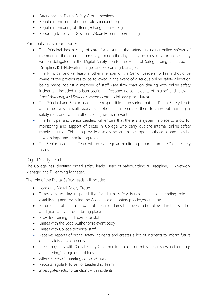- Attendance at Digital Safety Group meetings
- Regular monitoring of online safety incident logs
- Regular monitoring of filtering/change control logs
- Reporting to relevant Governors/Board/Committee/meeting

### Principal and Senior Leaders

- The Principal has a duty of care for ensuring the safety (including online safety) of members of the college community, though the day to day responsibility for online safety will be delegated to the Digital Safety Leads; the Head of Safeguarding and Student Discipline, ICT/Network manager and E-Learning Manager.
- The Principal and (at least) another member of the Senior Leadership Team should be aware of the procedures to be followed in the event of a serious online safety allegation being made against a member of staff. (see flow chart on dealing with online safety incidents – included in a later section – "Responding to incidents of misuse" and relevant Local Authority/MAT/other relevant body disciplinary procedures).
- The Principal and Senior Leaders are responsible for ensuring that the Digital Safety Leads and other relevant staff receive suitable training to enable them to carry out their digital safety roles and to train other colleagues, as relevant.
- The Principal and Senior Leaders will ensure that there is a system in place to allow for monitoring and support of those in College who carry out the internal online safety monitoring role. This is to provide a safety net and also support to those colleagues who take on important monitoring roles.
- The Senior Leadership Team will receive regular monitoring reports from the Digital Safety Leads.

## Digital Safety Leads

The College has identified digital safety leads; Head of Safeguarding & Discipline, ICT/Network Manager and E-Learning Manager.

The role of the Digital Safety Leads will include:

- Leads the Digital Safety Group
- Takes day to day responsibility for digital safety issues and has a leading role in establishing and reviewing the College's digital safety policies/documents
- Ensures that all staff are aware of the procedures that need to be followed in the event of an digital safety incident taking place
- Provides training and advice for staff
- Liaises with the Local Authority/relevant body
- Liaises with College technical staff
- Receives reports of digital safety incidents and creates a log of incidents to inform future digital safety developments,
- Meets regularly with Digital Safety Governor to discuss current issues, review incident logs and filtering/change control logs
- Attends relevant meetings of Governors
- Reports regularly to Senior Leadership Team
- Investigates/actions/sanctions with incidents.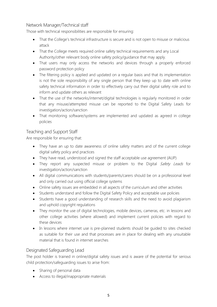## Network Manager/Technical staff

Those with technical responsibilities are responsible for ensuring:

- That the College's technical infrastructure is secure and is not open to misuse or malicious attack
- That the College meets required online safety technical requirements and any Local Authority/other relevant body online safety policy/guidance that may apply.
- That users may only access the networks and devices through a properly enforced password protection policy
- The filtering policy is applied and updated on a regular basis and that its implementation is not the sole responsibility of any single person that they keep up to date with online safety technical information in order to effectively carry out their digital safety role and to inform and update others as relevant
- That the use of the networks/internet/digital technologies is regularly monitored in order that any misuse/attempted misuse can be reported to the Digital Safety Leads for investigation/action/sanction
- That monitoring software/systems are implemented and updated as agreed in college policies

# Teaching and Support Staff

Are responsible for ensuring that:

- They have an up to date awareness of online safety matters and of the current college digital safety policy and practices
- They have read, understood and signed the staff acceptable use agreement (AUP)
- They report any suspected misuse or problem to the Digital Safety Leads for investigation/action/sanction
- All digital communications with students/parents/carers should be on a professional level and only carried out using official college systems
- Online safety issues are embedded in all aspects of the curriculum and other activities
- Students understand and follow the Digital Safety Policy and acceptable use policies
- Students have a good understanding of research skills and the need to avoid plagiarism and uphold copyright regulations
- They monitor the use of digital technologies, mobile devices, cameras, etc. in lessons and other college activities (where allowed) and implement current policies with regard to these devices
- In lessons where internet use is pre-planned students should be quided to sites checked as suitable for their use and that processes are in place for dealing with any unsuitable material that is found in internet searches

## Designated Safeguarding Lead

The post holder is trained in online/digital safety issues and is aware of the potential for serious child protection/safeguarding issues to arise from:

- Sharing of personal data
- Access to illegal/inappropriate materials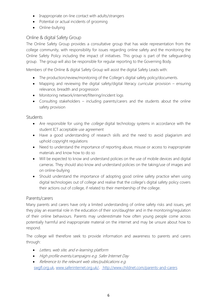- Inappropriate on-line contact with adults/strangers
- Potential or actual incidents of grooming
- Online-bullying

## Online & digital Safety Group

The Online Safety Group provides a consultative group that has wide representation from the college community, with responsibility for issues regarding online safety and the monitoring the Online Safety Policy including the impact of initiatives. This group is part of the safeguarding group. The group will also be responsible for regular reporting to the Governing Body.

Members of the Online & digital Safety Group will assist the digital Safety Leads with:

- The production/review/monitoring of the College's digital safety policy/documents.
- Mapping and reviewing the digital safety/digital literacy curricular provision ensuring relevance, breadth and progression
- Monitoring network/internet/filtering/incident logs
- Consulting stakeholders including parents/carers and the students about the online safety provision

## **Students**

- Are responsible for using the *college* digital technology systems in accordance with the student ICT acceptable use agreement
- Have a good understanding of research skills and the need to avoid plagiarism and uphold copyright regulations
- Need to understand the importance of reporting abuse, misuse or access to inappropriate materials and know how to do so
- Will be expected to know and understand policies on the use of mobile devices and digital cameras. They should also know and understand policies on the taking/use of images and on online-bullying
- Should understand the importance of adopting good online safety practice when using digital technologies out of college and realise that the college's digital safety policy covers their actions out of college, if related to their membership of the college.

## Parents/carers

Many parents and carers have only a limited understanding of online safety risks and issues, yet they play an essential role in the education of their son/daughter and in the monitoring/regulation of their online behaviours. Parents may underestimate how often young people come across potentially harmful and inappropriate material on the internet and may be unsure about how to respond.

The college will therefore seek to provide information and awareness to parents and carers through:

- Letters, web site, and e-learning platform
- High profile events/campaigns e.g. Safer Internet Day
- Reference to the relevant web sites/publications e.g.

[swgfl.org.uk](http://swgfl.org.uk/), [www.saferinternet.org.uk/](http://www.saferinternet.org.uk/) <http://www.childnet.com/parents-and-carers>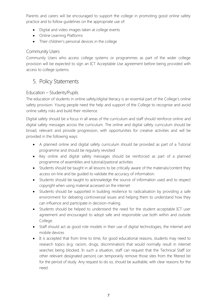Parents and carers will be encouraged to support the college in promoting good online safety practice and to follow guidelines on the appropriate use of:

- Digital and video images taken at college events
- Online Learning Platforms
- Their children's personal devices in the college

## Community Users

Community Users who access college systems or programmes as part of the wider college provision will be expected to sign an ICT Acceptable Use agreement before being provided with access to college systems.

# 5. Policy Statements

## Education – Students/Pupils

The education of students in online safety/digital literacy is an essential part of the College's online safety provision. Young people need the help and support of the College to recognise and avoid online safety risks and build their resilience.

Digital safety should be a focus in all areas of the curriculum and staff should reinforce online and digital safety messages across the curriculum. The online and digital safety curriculum should be broad, relevant and provide progression, with opportunities for creative activities and will be provided in the following ways:

- A planned online and digital safety curriculum should be provided as part of a Tutorial programme and should be regularly revisited
- Key online and digital safety messages should be reinforced as part of a planned programme of assemblies and tutorial/pastoral activities
- Students should be taught in all lessons to be critically aware of the materials/content they access on-line and be guided to validate the accuracy of information.
- Students should be taught to acknowledge the source of information used and to respect copyright when using material accessed on the internet
- Students should be supported in building resilience to radicalisation by providing a safe environment for debating controversial issues and helping them to understand how they can influence and participate in decision-making.
- Students should be helped to understand the need for the student acceptable ICT user agreement and encouraged to adopt safe and responsible use both within and outside College.
- Staff should act as good role models in their use of digital technologies, the internet and mobile devices
- It is accepted that from time to time, for good educational reasons, students may need to research topics (e.g. racism, drugs, discrimination) that would normally result in internet searches being blocked. In such a situation, staff can request that the Technical Staff (or other relevant designated person) can temporarily remove those sites from the filtered list for the period of study. Any request to do so, should be auditable, with clear reasons for the need.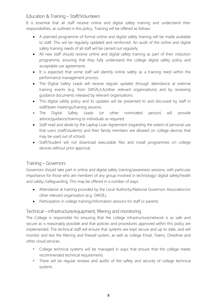## Education & Training – Staff/Volunteers

It is essential that all staff receive online and digital safety training and understand their responsibilities, as outlined in this policy. Training will be offered as follows:

- A planned programme of formal online and digital safety training will be made available to staff. This will be regularly updated and reinforced. An audit of the online and digital safety training needs of all staff will be carried out regularly.
- All new staff should receive online and digital safety training as part of their induction programme, ensuring that they fully understand the college digital safety policy and acceptable use agreements.
- It is expected that some staff will identify online safety as a training need within the performance management process.
- The Digital Safety Leads will receive regular updates through attendance at external training events (e.g. from SWGfL/LA/other relevant organisations) and by reviewing guidance documents released by relevant organisations.
- This digital safety policy and its updates will be presented to and discussed by staff in staff/team meetings/training sessions.
- The Digital Safety Leads (or other nominated person) will provide advice/guidance/training to individuals as required.
- Staff read and abide by the Laptop Loan Agreement (regarding the extent of personal use that users (staff/students) and their family members are allowed on college devices that may be used out of school)
- Staff/Student will not download executable files and install programmes on college devices without prior approval.

# Training – Governors

Governors should take part in online and digital safety training/awareness sessions, with particular importance for those who are members of any group involved in technology/ digital safety/health and safety /safeguarding. This may be offered in a number of ways:

- Attendance at training provided by the Local Authority/National Governors Association/or other relevant organisation (e.g. SWGfL).
- Participation in college training/information sessions for staff or parents

## Technical – infrastructure/equipment, filtering and monitoring

The College is responsible for ensuring that the college infrastructure/network is as safe and secure as is reasonably possible and that policies and procedures approved within this policy are implemented. The technical staff will ensure that systems are kept secure and up to date, and will monitor and test the filtering and firewall system, as well as college Email, Teams, Onedrive and other cloud services.

- *•* College technical systems will be managed in ways that ensure that the college meets recommended technical requirements
- *•* There will be regular reviews and audits of the safety and security of college technical systems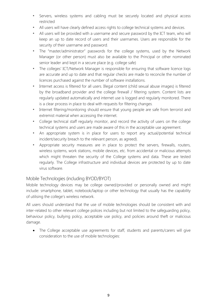- *•* Servers, wireless systems and cabling must be securely located and physical access restricted
- *•* All users will have clearly defined access rights to college technical systems and devices.
- *•* All users will be provided with a username and secure password by the ICT team, who will keep an up to date record of users and their usernames. Users are responsible for the security of their username and password.
- *•* The "master/administrator" passwords for the college systems, used by the Network Manager (or other person) must also be available to the Principal or other nominated senior leader and kept in a secure place (e.g. college safe)
- *•* The colleges' ICT/Network Manager is responsible for ensuring that software licence logs are accurate and up to date and that regular checks are made to reconcile the number of licences purchased against the number of software installations.
- *•* Internet access is filtered for all users. Illegal content (child sexual abuse images) is filtered by the broadband provider and the college firewall / filtering system. Content lists are regularly updated automatically and internet use is logged and regularly monitored. There is a clear process in place to deal with requests for filtering changes.
- *•* Internet filtering/monitoring should ensure that young people are safe from terrorist and extremist material when accessing the internet.
- *•* College technical staff regularly monitor, and record the activity of users on the college technical systems and users are made aware of this in the acceptable use agreement.
- *•* An appropriate system is in place for users to report any actual/potential technical incident/security breach to the relevant person, as agreed).
- *•* Appropriate security measures are in place to protect the servers, firewalls, routers, wireless systems, work stations, mobile devices, etc. from accidental or malicious attempts which might threaten the security of the College systems and data. These are tested regularly. The College infrastructure and individual devices are protected by up to date virus software.

## Mobile Technologies (including BYOD/BYOT)

Mobile technology devices may be college owned/provided or personally owned and might include: smartphone, tablet, notebook/laptop or other technology that usually has the capability of utilising the college's wireless network.

All users should understand that the use of mobile technologies should be consistent with and inter-related to other relevant college polices including but not limited to the safeguarding policy, behaviour policy, bullying policy, acceptable use policy, and policies around theft or malicious damage.

• The College acceptable use agreements for staff, students and parents/carers will give consideration to the use of mobile technologies: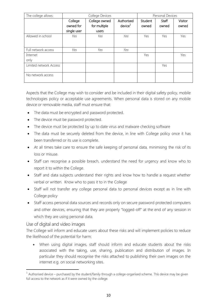| The college allows:    |             | College Devices |                     |         | Personal Devices |         |
|------------------------|-------------|-----------------|---------------------|---------|------------------|---------|
|                        | College     | College owned   | Authorised          | Student | Staff            | Visitor |
|                        | owned for   | for multiple    | device <sup>1</sup> | owned   | owned            | owned   |
|                        | single user | users           |                     |         |                  |         |
| Allowed in school      | Yes         | Yes             | Yes                 | Yes     | Yes              | Yes     |
|                        |             |                 |                     |         |                  |         |
| Full network access    | Yes         | Yes             | Yes                 |         |                  |         |
| Internet               |             |                 |                     | Yes     |                  | Yes     |
| only                   |             |                 |                     |         |                  |         |
| Limited network Access |             |                 |                     |         | Yes              |         |
|                        |             |                 |                     |         |                  |         |
| No network access      |             |                 |                     |         |                  |         |
|                        |             |                 |                     |         |                  |         |

Aspects that the College may wish to consider and be included in their digital safety policy, mobile technologies policy or acceptable use agreements. When personal data is stored on any mobile device or removable media, staff must ensure that:

- The data must be encrypted and password protected.
- The device must be password protected.
- The device must be protected by up to date virus and malware checking software
- The data must be securely deleted from the device, in line with College policy once it has been transferred or its use is complete.
- At all times take care to ensure the safe keeping of personal data, minimising the risk of its loss or misuse.
- Staff can recognise a possible breach, understand the need for urgency and know who to report it to within the College.
- Staff and data subjects understand their rights and know how to handle a request whether verbal or written. Know who to pass it to in the College
- Staff will not transfer any college personal data to personal devices except as in line with College policy
- Staff access personal data sources and records only on secure password protected computers and other devices, ensuring that they are properly "logged-off" at the end of any session in which they are using personal data.

## Use of digital and video images

**.** 

The College will inform and educate users about these risks and will implement policies to reduce the likelihood of the potential for harm:

 When using digital images, staff should inform and educate students about the risks associated with the taking, use, sharing, publication and distribution of images. In particular they should recognise the risks attached to publishing their own images on the internet e.g. on social networking sites.

 $1$  Authorised device – purchased by the student/family through a college-organised scheme. This device may be given full access to the network as if it were owned by the college.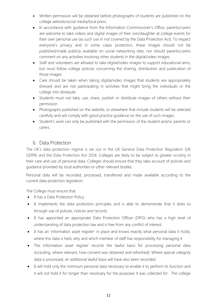- Written permission will be obtained before photographs of students are published on the college website/social media/local press.
- In accordance with quidance from the Information Commissioner's Office, parents/carers are welcome to take videos and digital images of their son/daughter at college events for their own personal use (as such use in not covered by the Data Protection Act). To respect everyone's privacy and in some cases protection, these images should not be published/made publicly available on social networking sites, nor should parents/carers comment on any activities involving other students in the digital/video images.
- Staff and volunteers are allowed to take digital/video images to support educational aims, but must follow college policies concerning the sharing, distribution and publication of those images.
- Care should be taken when taking digital/video images that students are appropriately dressed and are not participating in activities that might bring the individuals or the college into disrepute.
- Students must not take, use, share, publish or distribute images of others without their permission
- Photographs published on the website, or elsewhere that include students will be selected carefully and will comply with good practice guidance on the use of such images.
- Student's work can only be published with the permission of the student and/or parents or carers.

# 6. Data Protection

The UK's data protection regime is set out in the UK General Data Protection Regulation (UK GDPR) and the Data Protection Act 2018. Colleges are likely to be subject to greater scrutiny in their care and use of personal data. Colleges should ensure that they take account of policies and guidance provided by local authorities or other relevant bodies.

Personal data will be recorded, processed, transferred and made available according to the current data protection legislation.

The College must ensure that:

- It has a Data Protection Policy.
- It implements the data protection principles and is able to demonstrate that it does so through use of policies, notices and records.
- It has appointed an appropriate Data Protection Officer (DPO) who has a high level of understanding of data protection law and is free from any conflict of interest.
- It has an 'information asset register' in place and knows exactly what personal data it holds, where this data is held, why and which member of staff has responsibility for managing it
- The information asset register records the lawful basis for processing personal data (including, where relevant, how consent was obtained and refreshed). Where special category data is processed, an additional lawful basis will have also been recorded
- It will hold only the minimum personal data necessary to enable it to perform its function and it will not hold it for longer than necessary for the purposes it was collected for. The college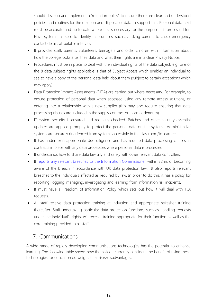should develop and implement a 'retention policy" to ensure there are clear and understood policies and routines for the deletion and disposal of data to support this. Personal data held must be accurate and up to date where this is necessary for the purpose it is processed for. Have systems in place to identify inaccuracies, such as asking parents to check emergency contact details at suitable intervals

- It provides staff, parents, volunteers, teenagers and older children with information about how the college looks after their data and what their rights are in a clear Privacy Notice.
- Procedures must be in place to deal with the individual rights of the data subject, e.g. one of the 8 data subject rights applicable is that of Subject Access which enables an individual to see to have a copy of the personal data held about them (subject to certain exceptions which may apply).
- Data Protection Impact Assessments (DPIA) are carried out where necessary. For example, to ensure protection of personal data when accessed using any remote access solutions, or entering into a relationship with a new supplier (this may also require ensuring that data processing clauses are included in the supply contract or as an addendum)
- IT system security is ensured and regularly checked. Patches and other security essential updates are applied promptly to protect the personal data on the systems. Administrative systems are securely ring fenced from systems accessible in the classroom/to learners
- It has undertaken appropriate due diligence and has required data processing clauses in contracts in place with any data processors where personal data is processed.
- It understands how to share data lawfully and safely with other relevant data controllers.
- It [reports any relevant breaches to the Information Commissioner](https://ico.org.uk/for-organisations/report-a-breach/) within 72hrs of becoming aware of the breach in accordance with UK data protection law. It also reports relevant breaches to the individuals affected as required by law. In order to do this, it has a policy for reporting, logging, managing, investigating and learning from information risk incidents.
- It must have a Freedom of Information Policy which sets out how it will deal with FOI requests.
- All staff receive data protection training at induction and appropriate refresher training thereafter. Staff undertaking particular data protection functions, such as handling requests under the individual's rights, will receive training appropriate for their function as well as the core training provided to all staff.

# 7. Communications

A wide range of rapidly developing communications technologies has the potential to enhance learning. The following table shows how the college currently considers the benefit of using these technologies for education outweighs their risks/disadvantages: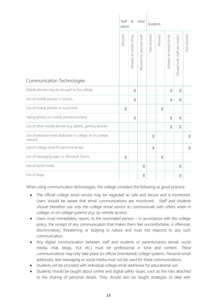|                                                                      | Staff<br>&<br>other<br>adults |                          |                            | Students    |         |                          |                               |             |  |  |  |  |
|----------------------------------------------------------------------|-------------------------------|--------------------------|----------------------------|-------------|---------|--------------------------|-------------------------------|-------------|--|--|--|--|
|                                                                      | Allowed                       | Allowed at certain times | Allowed for selected staff | Not allowed | Allowed | Allowed at certain times | Allowed with staff permission | Not allowed |  |  |  |  |
| Communication Technologies                                           |                               |                          |                            |             |         |                          |                               |             |  |  |  |  |
| Mobile phones may be brought to the college                          |                               | $\chi$                   |                            |             |         | X                        | $\chi$                        |             |  |  |  |  |
| Use of mobile phones in lessons                                      |                               | $\times$                 |                            |             |         | $\times$                 | $\times$                      |             |  |  |  |  |
| Use of mobile phones in social time                                  | X                             |                          |                            |             | X       |                          |                               |             |  |  |  |  |
| Taking photos on mobile phones/cameras                               |                               | $\chi$                   |                            |             |         | X                        | X                             |             |  |  |  |  |
| Use of other mobile devices e.g. tablets, gaming devices             |                               |                          |                            |             |         | $\times$                 | $\times$                      |             |  |  |  |  |
| Use of personal email addresses in college, or on college<br>network |                               |                          |                            | $\chi$      |         |                          |                               | X           |  |  |  |  |
| Use of college email for personal emails                             |                               |                          |                            | $\times$    |         |                          |                               | $\chi$      |  |  |  |  |
| Use of messaging apps i.e. Microsoft Teams                           | $\times$                      |                          |                            |             | $\chi$  |                          |                               |             |  |  |  |  |
| Use of social media                                                  |                               |                          | $\times$                   |             |         |                          | $\times$                      |             |  |  |  |  |
| Use of blogs                                                         |                               |                          | $\times$                   |             |         |                          | Χ                             |             |  |  |  |  |

When using communication technologies, the college considers the following as good practice:

- The official college email service may be regarded as safe and secure and is monitored. Users should be aware that email communications are monitored. Staff and students should therefore use only the college email service to communicate with others when in college, or on college systems (e.g. by remote access).
- Users must immediately report, to the nominated person in accordance with the college policy, the receipt of any communication that makes them feel uncomfortable, is offensive, discriminatory, threatening or bullying in nature and must not respond to any such communication.
- Any digital communication between staff and students or parents/carers (email, social media, chat, blogs, VLE etc.) must be professional in tone and content. These communications may only take place on official (monitored) college systems. Personal email addresses, text messaging or social media must not be used for these communications.
- Students will be provided with individual college email addresses for educational use.
- Students should be taught about online and digital safety issues, such as the risks attached to the sharing of personal details. They should also be taught strategies to deal with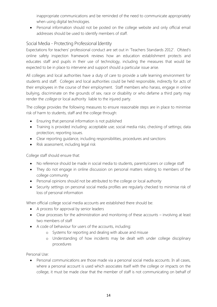inappropriate communications and be reminded of the need to communicate appropriately when using digital technologies.

 Personal information should not be posted on the college website and only official email addresses should be used to identify members of staff.

# Social Media - Protecting Professional Identity

Expectations for teachers' professional conduct are set out in 'Teachers Standards 2012'. Ofsted's online safety inspection framework reviews how an education establishment protects and educates staff and pupils in their use of technology, including the measures that would be expected to be in place to intervene and support should a particular issue arise.

All colleges and local authorities have a duty of care to provide a safe learning environment for students and staff. Colleges and local authorities could be held responsible, indirectly for acts of their employees in the course of their employment. Staff members who harass, engage in online bullying, discriminate on the grounds of sex, race or disability or who defame a third party may render the *college* or local authority liable to the injured party.

The college provides the following measures to ensure reasonable steps are in place to minimise risk of harm to students, staff and the college through:

- Ensuring that personal information is not published
- Training is provided including: acceptable use; social media risks; checking of settings; data protection; reporting issues.
- Clear reporting guidance, including responsibilities, procedures and sanctions
- Risk assessment, including legal risk

College staff should ensure that:

- No reference should be made in social media to students, parents/carers or college staff
- They do not engage in online discussion on personal matters relating to members of the college community
- Personal opinions should not be attributed to the college or local authority
- Security settings on personal social media profiles are regularly checked to minimise risk of loss of personal information

When official college social media accounts are established there should be:

- A process for approval by senior leaders
- Clear processes for the administration and monitoring of these accounts involving at least two members of staff
- A code of behaviour for users of the accounts, including:
	- o Systems for reporting and dealing with abuse and misuse
	- o Understanding of how incidents may be dealt with under college disciplinary procedures

Personal Use:

 Personal communications are those made via a personal social media accounts. In all cases, where a personal account is used which associates itself with the college or impacts on the college, it must be made clear that the member of staff is not communicating on behalf of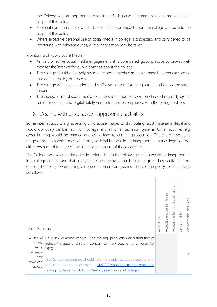the College with an appropriate disclaimer. Such personal communications are within the scope of this policy

- Personal communications which do not refer to or impact upon the college are outside the scope of this policy
- Where excessive personal use of social media in college is suspected, and considered to be interfering with relevant duties, disciplinary action may be taken.

Monitoring of Public Social Media:

- As part of active social media engagement, it is considered good practice to pro-actively monitor the Internet for public postings about the college
- The college should effectively respond to social media comments made by others according to a defined policy or process.
- The college will ensure student and staff give consent for their pictures to be used on social media.
- The *college's* use of social media for professional purposes will be checked regularly by the senior risk officer and Digital Safety Group to ensure compliance with the college policies.

# 8. Dealing with unsuitable/inappropriate activities

Some internet activity e.g. accessing child abuse images or distributing racist material is illegal and would obviously be banned from college and all other technical systems. Other activities e.g. cyber-bullying would be banned and could lead to criminal prosecution. There are however a range of activities which may, generally, be legal but would be inappropriate in a college context, either because of the age of the users or the nature of those activities.

The College believes that the activities referred to in the following section would be inappropriate in a college context and that users, as defined below, should not engage in these activities in/or outside the college when using college equipment or systems. The college policy restricts usage as follows:

| User Actions                                              |                                                                                                                                                                                                                                                                                                                                                                                           | Acceptable | certain times<br>$\overline{\sigma}$<br>Acceptable | users<br>nominated<br>Acceptable for | Jnacceptable | illegal<br>pue<br>Jnacceptable |
|-----------------------------------------------------------|-------------------------------------------------------------------------------------------------------------------------------------------------------------------------------------------------------------------------------------------------------------------------------------------------------------------------------------------------------------------------------------------|------------|----------------------------------------------------|--------------------------------------|--------------|--------------------------------|
| Internet<br>sites, make,<br>post,<br>download,<br>upload, | Users shall Child sexual abuse images - The making, production or distribution of<br>not visit indecent images of children. Contrary to The Protection of Children Act<br>1978<br>N.B. Schools/academies should refer to guidance about dealing with<br>self-generated images/sexting - UKSIC Responding to and managing<br>sexting incidents and UKCIS - Sexting in schools and colleges |            |                                                    |                                      |              | X                              |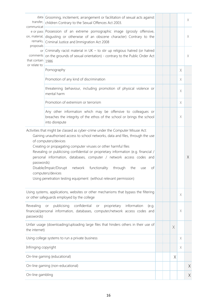| transfer,<br>communicat                   | data Grooming, incitement, arrangement or facilitation of sexual acts against<br>children Contrary to the Sexual Offences Act 2003.                                                                                                                                                                                                                                                                                                                                                                                     |  |          |             | $\times$ |
|-------------------------------------------|-------------------------------------------------------------------------------------------------------------------------------------------------------------------------------------------------------------------------------------------------------------------------------------------------------------------------------------------------------------------------------------------------------------------------------------------------------------------------------------------------------------------------|--|----------|-------------|----------|
| on, material,<br>remarks,<br>proposals    | e or pass Possession of an extreme pornographic image (grossly offensive,<br>disqusting or otherwise of an obscene character) Contrary to the<br>Criminal Justice and Immigration Act 2008                                                                                                                                                                                                                                                                                                                              |  |          |             | X        |
| comments<br>that contain<br>or relate to: | or Criminally racist material in $UK -$ to stir up religious hatred (or hatred<br>on the grounds of sexual orientation) - contrary to the Public Order Act<br>1986                                                                                                                                                                                                                                                                                                                                                      |  |          |             | X        |
|                                           | Pornography                                                                                                                                                                                                                                                                                                                                                                                                                                                                                                             |  |          | X           |          |
|                                           | Promotion of any kind of discrimination                                                                                                                                                                                                                                                                                                                                                                                                                                                                                 |  |          | X           |          |
|                                           | threatening behaviour, including promotion of physical violence or<br>mental harm                                                                                                                                                                                                                                                                                                                                                                                                                                       |  |          | X           |          |
|                                           | Promotion of extremism or terrorism                                                                                                                                                                                                                                                                                                                                                                                                                                                                                     |  |          | X           |          |
|                                           | Any other information which may be offensive to colleagues or<br>breaches the integrity of the ethos of the school or brings the school<br>into disrepute                                                                                                                                                                                                                                                                                                                                                               |  |          | X           |          |
| passwords)                                | Gaining unauthorised access to school networks, data and files, through the use<br>of computers/devices<br>Creating or propagating computer viruses or other harmful files<br>Revealing or publicising confidential or proprietary information (e.g. financial /<br>personal information, databases, computer / network access codes and<br>Disable/Impair/Disrupt<br>functionality<br>through<br>network<br>the<br>of<br>use<br>computers/devices<br>Using penetration testing equipment (without relevant permission) |  |          |             | $\times$ |
|                                           | Using systems, applications, websites or other mechanisms that bypass the filtering<br>or other safeguards employed by the college                                                                                                                                                                                                                                                                                                                                                                                      |  |          | X           |          |
| Revealing<br>passwords)                   | publicising<br>confidential<br>information<br>or<br>proprietary<br>(e.g.<br>or<br>financial/personal information, databases, computer/network access codes and                                                                                                                                                                                                                                                                                                                                                          |  |          | $\mathsf X$ |          |
| the internet)                             | Unfair usage (downloading/uploading large files that hinders others in their use of                                                                                                                                                                                                                                                                                                                                                                                                                                     |  | $\times$ |             |          |
|                                           | Using college systems to run a private business                                                                                                                                                                                                                                                                                                                                                                                                                                                                         |  |          | X           |          |
| Infringing copyright                      |                                                                                                                                                                                                                                                                                                                                                                                                                                                                                                                         |  |          | Χ           |          |
|                                           | On-line gaming (educational)                                                                                                                                                                                                                                                                                                                                                                                                                                                                                            |  | X        |             |          |
|                                           | On-line gaming (non-educational)                                                                                                                                                                                                                                                                                                                                                                                                                                                                                        |  |          |             | $\chi$   |
| On-line gambling                          |                                                                                                                                                                                                                                                                                                                                                                                                                                                                                                                         |  |          |             | $\times$ |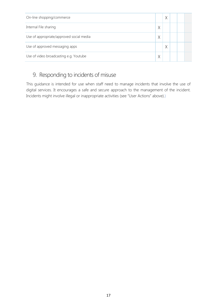| On-line shopping/commerce                |   | Χ |  |  |
|------------------------------------------|---|---|--|--|
| Internal File sharing                    | X |   |  |  |
| Use of appropriate/approved social media | X |   |  |  |
| Use of approved messaging apps           |   | Χ |  |  |
| Use of video broadcasting e.g. Youtube   | Χ |   |  |  |

# 9. Responding to incidents of misuse

This guidance is intended for use when staff need to manage incidents that involve the use of digital services. It encourages a safe and secure approach to the management of the incident. Incidents might involve illegal or inappropriate activities (see "User Actions" above).)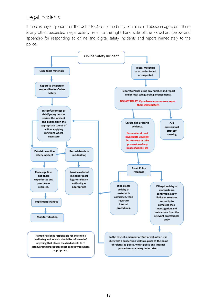# Illegal Incidents

If there is any suspicion that the web site(s) concerned may contain child abuse images, or if there is any other suspected illegal activity, refer to the right hand side of the Flowchart (below and appendix) for responding to online and digital safety incidents and report immediately to the police.

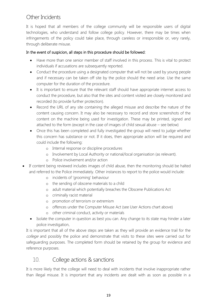# Other Incidents

It is hoped that all members of the college community will be responsible users of digital technologies, who understand and follow college policy. However, there may be times when infringements of the policy could take place, through careless or irresponsible or, very rarely, through deliberate misuse.

### In the event of suspicion, all steps in this procedure should be followed:

- Have more than one senior member of staff involved in this process. This is vital to protect individuals if accusations are subsequently reported.
- Conduct the procedure using a designated computer that will not be used by young people and if necessary can be taken off site by the police should the need arise. Use the same computer for the duration of the procedure.
- It is important to ensure that the relevant staff should have appropriate internet access to conduct the procedure, but also that the sites and content visited are closely monitored and recorded (to provide further protection).
- Record the URL of any site containing the alleged misuse and describe the nature of the content causing concern. It may also be necessary to record and store screenshots of the content on the machine being used for investigation. These may be printed, signed and attached to the form (except in the case of images of child sexual abuse – see below)
- Once this has been completed and fully investigated the group will need to judge whether this concern has substance or not. If it does, then appropriate action will be required and could include the following:
	- o Internal response or discipline procedures
	- o Involvement by Local Authority or national/local organisation (as relevant).
	- o Police involvement and/or action
- If content being reviewed includes images of child abuse, then the monitoring should be halted and referred to the Police immediately. Other instances to report to the police would include:
	- o incidents of 'grooming' behaviour
	- o the sending of obscene materials to a child
	- o adult material which potentially breaches the Obscene Publications Act
	- o criminally racist material
	- o promotion of terrorism or extremism
	- o offences under the Computer Misuse Act (see User Actions chart above)
	- o other criminal conduct, activity or materials
	- Isolate the computer in question as best you can. Any change to its state may hinder a later police investigation.

It is important that all of the above steps are taken as they will provide an evidence trail for the college and possibly the police and demonstrate that visits to these sites were carried out for safeguarding purposes. The completed form should be retained by the group for evidence and reference purposes.

# 10. College actions & sanctions

It is more likely that the college will need to deal with incidents that involve inappropriate rather than illegal misuse. It is important that any incidents are dealt with as soon as possible in a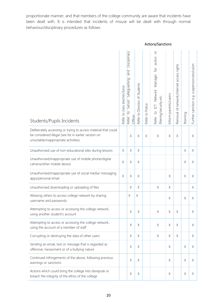proportionate manner, and that members of the college community are aware that incidents have been dealt with. It is intended that incidents of misuse will be dealt with through normal behaviour/disciplinary procedures as follows:

|                                                                                                                                                                  |                              |                                                                                            |                                  |                 | Actions/Sanctions                                                                                     |                       |                                           |             |                                            |
|------------------------------------------------------------------------------------------------------------------------------------------------------------------|------------------------------|--------------------------------------------------------------------------------------------|----------------------------------|-----------------|-------------------------------------------------------------------------------------------------------|-----------------------|-------------------------------------------|-------------|--------------------------------------------|
| Students/Pupils Incidents                                                                                                                                        | Refer to class teacher/tutor | Disciplinary<br><b>Dug</b><br>Sateguarding<br>Senior<br>$\overline{S}$<br>Officer<br>Reter | Director of Students<br>Refer to | Refer to Police | $\overline{e}$<br>action<br>$\overline{6}$<br>Refer to ICT Network Manager<br>filtering/security etc. | Inform parents/carers | Removal of network/internet access rights | Warning     | Further sanction e.g. suspension/exclusion |
| Deliberately accessing or trying to access material that could<br>be considered illegal (see list in earlier section on<br>unsuitable/inappropriate activities). |                              | $\mathsf X$                                                                                | $\mathsf X$                      | $\mathsf X$     | $\mathsf X$                                                                                           | $\mathsf X$           | $\mathsf X$                               |             | X                                          |
| Unauthorised use of non-educational sites during lessons                                                                                                         | $\mathsf X$                  | $\mathsf X$                                                                                | $\mathsf X$                      |                 |                                                                                                       |                       |                                           | $\mathsf X$ | X                                          |
| Unauthorised/inappropriate use of mobile phone/digital<br>camera/other mobile device                                                                             | $\times$                     | $\chi$                                                                                     | $\mathsf X$                      |                 |                                                                                                       |                       |                                           | $\mathsf X$ | X                                          |
| Unauthorised/inappropriate use of social media/ messaging<br>apps/personal email                                                                                 | $\chi$                       | $\mathsf X$                                                                                | $\mathsf X$                      |                 |                                                                                                       | $\mathsf X$           |                                           | $\times$    | X                                          |
| Unauthorised downloading or uploading of files                                                                                                                   |                              | $\mathsf X$                                                                                | $\mathsf X$                      |                 | $\mathsf X$                                                                                           | $\times$              |                                           |             | X                                          |
| Allowing others to access college network by sharing<br>username and passwords                                                                                   |                              | Χ                                                                                          | $\mathsf X$                      |                 |                                                                                                       | X                     |                                           | Χ           | X                                          |
| Attempting to access or accessing the college network,<br>using another student's account                                                                        |                              | $\mathsf X$                                                                                | X                                |                 | X                                                                                                     | $\mathsf X$           | X                                         |             | X                                          |
| Attempting to access or accessing the college network,<br>using the account of a member of staff                                                                 |                              | $\mathsf X$                                                                                | $\mathsf X$                      |                 | $\mathsf X$                                                                                           | $\mathsf X$           | $\mathsf X$                               |             | X                                          |
| Corrupting or destroying the data of other users                                                                                                                 |                              | X                                                                                          | X                                |                 | $\mathsf X$                                                                                           | X                     | X                                         |             | X                                          |
| Sending an email, text or message that is regarded as<br>offensive, harassment or of a bullying nature                                                           |                              | $\mathsf X$                                                                                | $\mathsf X$                      |                 |                                                                                                       | X                     |                                           | $\mathsf X$ | X.                                         |
| Continued infringements of the above, following previous<br>warnings or sanctions                                                                                |                              | X                                                                                          | $\chi$                           |                 |                                                                                                       | $\times$              |                                           | $\chi$      | X                                          |
| Actions which could bring the college into disrepute or<br>breach the integrity of the ethos of the college                                                      |                              | $\mathsf X$                                                                                | X                                |                 |                                                                                                       | X                     |                                           | Χ           | X                                          |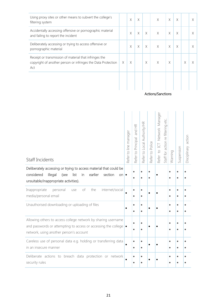| Using proxy sites or other means to subvert the college's<br>filtering system                                                 |   | X        | X  |          | $\times$ | $\times$ | X |   | X |
|-------------------------------------------------------------------------------------------------------------------------------|---|----------|----|----------|----------|----------|---|---|---|
| Accidentally accessing offensive or pornographic material<br>and failing to report the incident                               |   | X        | X  | $\times$ | $\times$ | $\times$ | X |   |   |
| Deliberately accessing or trying to access offensive or<br>pornographic material                                              |   | X        | X. | $\times$ | $\times$ | $\times$ | X |   | X |
| Receipt or transmission of material that infringes the<br>copyright of another person or infringes the Data Protection<br>Act | X | $\times$ |    | X        | $\times$ | X        |   | Χ |   |
|                                                                                                                               |   |          |    |          |          |          |   |   |   |

Actions/Sanctions

| Staff Incidents                                                                                                                                                                                 | Refer to line manager | and HR<br>Refer to Principal | Refer to Local Authority/HR | Refer to Police | Refer to ICT Network Manager | Staff for action re filtering etc. | Warning                | Suspension             | Disciplinary action |
|-------------------------------------------------------------------------------------------------------------------------------------------------------------------------------------------------|-----------------------|------------------------------|-----------------------------|-----------------|------------------------------|------------------------------------|------------------------|------------------------|---------------------|
| Deliberately accessing or trying to access material that could be<br>considered<br>earlier<br>illegal<br>list<br>section<br>(see<br>in<br>$on \bullet$<br>unsuitable/inappropriate activities). |                       |                              |                             |                 |                              |                                    |                        | ٠                      |                     |
| Inappropriate<br>personal<br>of<br>the<br>internet/social<br>use<br>media/personal email                                                                                                        |                       | $\bullet$<br>$\bullet$       | ٠                           |                 |                              |                                    |                        | ٠<br>$\bullet$         |                     |
| Unauthorised downloading or uploading of files                                                                                                                                                  |                       | é                            | $\bullet$<br>٠              |                 |                              |                                    |                        | $\bullet$<br>$\bullet$ |                     |
| Allowing others to access college network by sharing username<br>and passwords or attempting to access or accessing the college $\bullet$<br>network, using another person's account            |                       |                              | $\bullet$                   |                 |                              |                                    | ٠                      | $\bullet$              |                     |
| Careless use of personal data e.g. holding or transferring data<br>in an insecure manner                                                                                                        |                       | $\bullet$<br>٠               | ٠<br>$\bullet$              |                 |                              |                                    | $\bullet$<br>$\bullet$ | ٠<br>$\bullet$         |                     |
| Deliberate actions to breach data protection or network<br>security rules                                                                                                                       |                       |                              |                             |                 |                              |                                    |                        |                        |                     |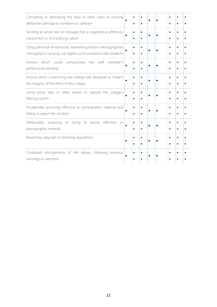| Corrupting or destroying the data of other users or causing<br>deliberate damage to hardware or software                        |                | $\bullet$              |  |                        | $\bullet$              |  |
|---------------------------------------------------------------------------------------------------------------------------------|----------------|------------------------|--|------------------------|------------------------|--|
| Sending an email, text or message that is regarded as offensive,<br>harassment or of a bullying nature                          | $\bullet$<br>٠ | ٠<br>$\bullet$         |  | $\bullet$<br>$\bullet$ | $\bullet$<br>$\bullet$ |  |
| Using personal email/social networking/instant messaging/text<br>messaging to carrying out digital communications with students | ٠<br>٠         | ٠<br>٠                 |  | $\bullet$              | ۰<br>٠                 |  |
| Actions<br>which could<br>compromise<br>the<br>staff<br>member's<br>professional standing                                       | ٠              | $\bullet$<br>$\bullet$ |  | $\bullet$<br>$\bullet$ | ۰<br>$\bullet$         |  |
| Actions which could bring the college into disrepute or breach<br>the integrity of the ethos of the college                     | ٠<br>$\bullet$ | $\bullet$              |  |                        | $\bullet$<br>$\bullet$ |  |
| Using proxy sites or other means to subvert the college's<br>filtering system                                                   | $\bullet$      | $\bullet$              |  | $\bullet$<br>$\bullet$ | $\bullet$<br>$\bullet$ |  |
| Accidentally accessing offensive or pornographic material and<br>failing to report the incident                                 | $\bullet$      |                        |  | $\bullet$              | $\bullet$<br>٠         |  |
| Deliberately accessing or trying to access offensive<br>or<br>pornographic material                                             | $\bullet$      | $\bullet$<br>$\bullet$ |  | $\bullet$<br>$\bullet$ | $\bullet$<br>$\bullet$ |  |
| Breaching copyright or licensing regulations                                                                                    |                | ٠                      |  |                        | ٠<br>٠                 |  |
| Continued infringements of the above, following previous<br>warnings or sanctions                                               |                |                        |  |                        |                        |  |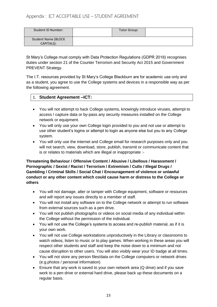## Appendix : ICT ACCEPTABLE USE – STUDENT AGREEMENT

| Student ID Number:         | Tutor Group: |  |
|----------------------------|--------------|--|
| <b>Student Name (BLOCK</b> |              |  |
| CAPITALS):                 |              |  |

St Mary's College must comply with Data Protection Regulations (GDPR 2018) recognises duties under section 21 of the Counter Terrorism and Security Act 2015 and Government PREVENT Strategy.

The I.T. resources provided by St Mary's College Blackburn are for academic use only and as a student, you agree to use the College systems and devices in a responsible way as per the following agreement.

#### 1. **Student Agreement –ICT:**

- You will not attempt to hack College systems, knowingly introduce viruses, attempt to access / capture data or by-pass any security measures installed on the College network or equipment.
- You will only use your own College login provided to you and not use or attempt to use other student's logins or attempt to login as anyone else but you to any College system.
- You will only use the internet and College email for research purposes only and you will not search, view, download, store, publish, transmit or communicate content that is or relates to materials which are illegal or inappropriate :-

#### **Threatening Behaviour / Offensive Content / Abusive / Libellous / Harassment / Pornographic / Sexist / Racist / Terrorism / Extremism / Cults / Illegal Drugs / Gambling / Criminal Skills / Social Chat / Encouragement of violence or unlawful conduct or any other content which could cause harm or distress to the College or others**

- You will not damage, alter or tamper with College equipment, software or resources and will report any issues directly to a member of staff.
- You will not install any software on to the College network or attempt to run software from external sources such as a pen drive.
- You will not publish photographs or videos on social media of any individual within the College without the permission of the individual.
- You will not use the College's systems to access and re-publish material, as if it is your own work.
- You will not use College workstations unproductively in the Library or classrooms to watch videos, listen to music or to play games. When working in these areas you will respect other students and staff and keep the noise down to a minimum and not cause disruption to other users. You will also visibly wear your ID badge at all times.
- You will not store any person files/data on the College computers or network drives (e.g.photos / personal information)
- Ensure that any work is saved to your own network area (Q drive) and if you save work to a pen drive or external hard drive, please back up these documents on a regular basis.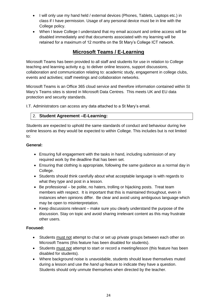- I will only use my hand held / external devices (Phones, Tablets, Laptops etc.) in class if I have permission. Usage of any personal device must be in line with the College policy.
- When I leave College I understand that my email account and online access will be disabled immediately and that documents associated with my learning will be retained for a maximum of 12 months on the St Mary's College ICT network.

# **Microsoft Teams / E-Learning**

Microsoft Teams has been provided to all staff and students for use in relation to College teaching and learning activity e.g. to deliver online lessons, support discussions, collaboration and communication relating to: academic study, engagement in college clubs, events and activities; staff meetings and collaboration networks.

Microsoft Teams is an Office 365 cloud service and therefore information contained within St Mary's Teams sites is stored in Microsoft Data Centres. This meets UK and EU data protection and security standards.

I.T. Administrators can access any data attached to a St Mary's email.

## 2. **Student Agreement –E-Learning:**

Students are expected to uphold the same standards of conduct and behaviour during live online lessons as they would be expected to within College. This includes but is not limited to:

#### **General:**

- Ensuring full engagement with the tasks in hand, including submission of any required work by the deadline that has been set.
- Ensuring that clothing is appropriate, following the same guidance as a normal day in College.
- Students should think carefully about what acceptable language is with regards to what they type and post in a lesson.
- Be professional be polite, no haters, trolling or hijacking posts. Treat team members with respect. It is important that this is maintained throughout, even in instances when opinions differ. Be clear and avoid using ambiguous language which may be open to misinterpretation.
- $\bullet$  Keep discussions relevant make sure you clearly understand the purpose of the discussion. Stay on topic and avoid sharing irrelevant content as this may frustrate other users.

## **Focused:**

- Students must not attempt to chat or set up private groups between each other on Microsoft Teams (this feature has been disabled for students).
- Students must not attempt to start or record a meeting/lesson (this feature has been disabled for students).
- Where background noise is unavoidable, students should leave themselves muted during a lesson and use the *hand up* feature to indicate they have a question. Students should only unmute themselves when directed by the teacher.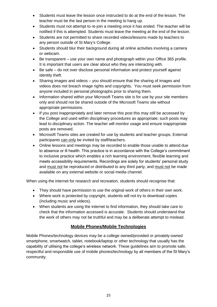- Students must leave the lesson once instructed to do at the end of the lesson. The teacher must be the last person in the meeting to hang up.
- Students must not attempt to re-join a meeting once it has ended. The teacher will be notified if this is attempted. Students must leave the meeting at the end of the lesson.
- Students are not permitted to share recorded videos/lessons made by teachers to any person outside of St Mary's College.
- Students should blur their background during all online activities involving a camera or webcam.
- Be transparent use your own name and photograph within your Office 365 profile. It is important that users are clear about who they are interacting with.
- Be safe do not over disclose personal information and protect yourself against identity theft.
- Sharing images and videos you should ensure that the sharing of images and videos does not breach image rights and copyrights. You must seek permission from anyone included in personal photographs prior to sharing them.
- Information shared within your Microsoft Teams site is for use by your site members only and should not be shared outside of the Microsoft Teams site without appropriate permissions.
- If you post inappropriately and later remove this post this may still be accessed by the College and used within disciplinary procedures as appropriate; such posts may lead to disciplinary action. The teacher will monitor usage and ensure inappropriate posts are removed.
- Microsoft Teams sites are created for use by students and teacher groups. External participants can only be invited by staff/teachers.
- Online lessons and meetings may be recorded to enable those unable to attend due to absence or ill health. This practice is in accordance with the College's commitment to inclusive practice which enables a rich learning environment, flexible learning and meets accessibility requirements. Recordings are solely for students' personal study and must not be reproduced or distributed to any third party, and must not be made available on any external website or social media channel.

When using the internet for research and recreation, students should recognise that:

- They should have permission to use the original work of others in their own work.
- Where work is protected by copyright, students will not try to download copies (including music and videos).
- When students are using the internet to find information, they should take care to check that the information accessed is accurate. Students should understand that the work of others may not be truthful and may be a deliberate attempt to mislead.

## **Mobile Phones/Mobile Technologies**

Mobile Phones/technology devices may be a college owned/provided or privately-owned smartphone, smartwatch, tablet, notebook/laptop or other technology that usually has the capability of utilising the college's wireless network. These guidelines aim to promote safe, respectful and responsible use of mobile phones/technology by all members of the St Mary's community.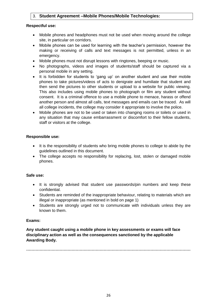## 3. **Student Agreement –Mobile Phones/Mobile Technologies:**

#### **Respectful use:**

- Mobile phones and headphones must not be used when moving around the college site, in particular on corridors.
- Mobile phones can be used for learning with the teacher's permission, however the making or receiving of calls and text messages is not permitted, unless in an emergency.
- Mobile phones must not disrupt lessons with ringtones, beeping or music.
- No photographs, videos and images of students/staff should be captured via a personal mobile in any setting.
- It is forbidden for students to 'gang up' on another student and use their mobile phones to take pictures/videos of acts to denigrate and humiliate that student and then send the pictures to other students or upload to a website for public viewing. This also includes using mobile phones to photograph or film any student without consent. It is a criminal offence to use a mobile phone to menace, harass or offend another person and almost all calls, text messages and emails can be traced. As will all college incidents, the college may consider it appropriate to involve the police.
- Mobile phones are not to be used or taken into changing rooms or toilets or used in any situation that may cause embarrassment or discomfort to their fellow students, staff or visitors at the college.

#### **Responsible use:**

- It is the responsibility of students who bring mobile phones to college to abide by the guidelines outlined in this document.
- The college accepts no responsibility for replacing, lost, stolen or damaged mobile phones.

#### **Safe use:**

- It is strongly advised that student use passwords/pin numbers and keep these confidential.
- Students are reminded of the inappropriate behaviour, relating to materials which are illegal or inappropriate (as mentioned in bold on page 1)
- Students are strongly urged not to communicate with individuals unless they are known to them.

#### **Exams:**

**Any student caught using a mobile phone in key assessments or exams will face disciplinary action as well as the consequences sanctioned by the applicable Awarding Body.**

**……………………………………………………………………………………………………………**